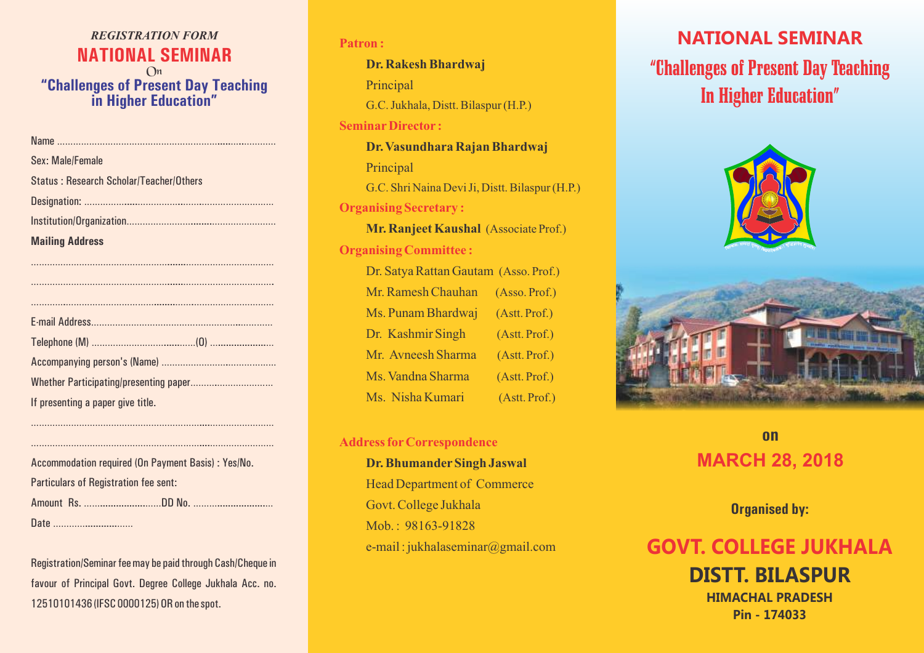### *REGISTRATION FORM* **NATIONAL SEMINAR** On **"Challenges of Present Day Teaching in Higher Education"**

| Sex: Male/Female                               |
|------------------------------------------------|
| <b>Status: Research Scholar/Teacher/Others</b> |
|                                                |
|                                                |
| <b>Mailing Address</b>                         |
|                                                |
|                                                |

| If presenting a paper give title. |
|-----------------------------------|

………………………………………………………....…………………… ………………………………………………………....……………………

| Accommodation required (On Payment Basis) : Yes/No. |  |  |  |
|-----------------------------------------------------|--|--|--|
| <b>Particulars of Registration fee sent:</b>        |  |  |  |
|                                                     |  |  |  |
|                                                     |  |  |  |

Registration/Seminar fee may be paid through Cash/Cheque in favour of Principal Govt. Degree College Jukhala Acc. no. 12510101436 (IFSC 0000125) OR on the spot.

# **Patron : SeminarDirector : Organising Secretary : Organising Committee : Dr. Rakesh Bhardwaj**  Principal G.C. Jukhala, Distt. Bilaspur (H.P.) **Dr. Vasundhara Rajan Bhardwaj**  Principal G.C. Shri Naina Devi Ji, Distt. Bilaspur (H.P.) **Mr. Ranjeet Kaushal** (Associate Prof.) Dr. Satya Rattan Gautam (Asso. Prof.) Mr. Ramesh Chauhan (Asso. Prof.) Ms. Punam Bhardwaj (Astt. Prof.) Dr. Kashmir Singh (Astt. Prof.) Mr. Avneesh Sharma (Astt. Prof.) Ms. Vandna Sharma (Astt. Prof.) Ms. Nisha Kumari (Astt. Prof.)

### **Address forCorrespondence**

**Dr. Bhumander Singh Jaswal** Head Department of Commerce Govt. College Jukhala Mob.: 98163-91828 e-mail : jukhalaseminar@gmail.com

### **NATIONAL SEMINAR**

# "Challenges of Present Day Teaching In Higher Education"



# **MARCH 28, 2018 on**

**Organised by:**

# **GOVT. COLLEGE JUKHALA**

**DISTT. BILASPUR HIMACHAL PRADESH Pin - 174033**